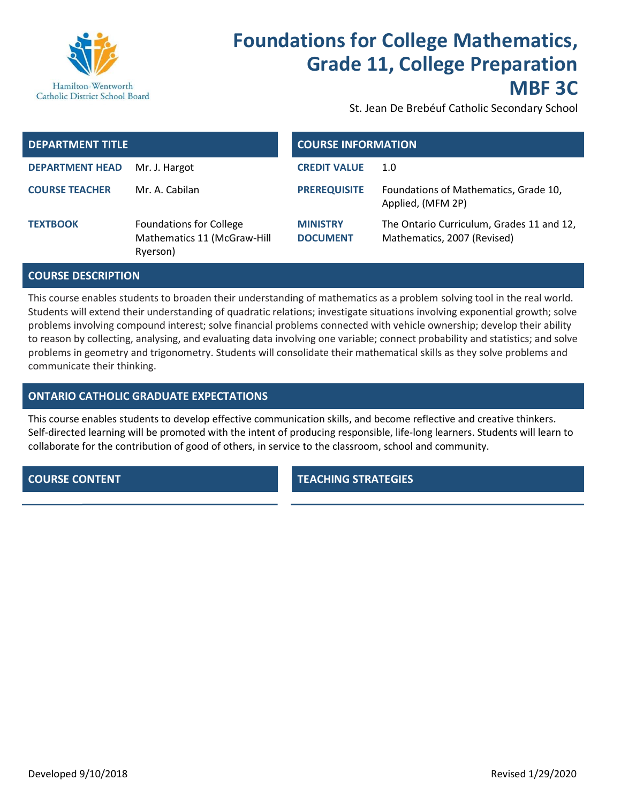

# Foundations for College Mathematics, Grade 11, College Preparation MBF 3C

St. Jean De Brebéuf Catholic Secondary School

| <b>DEPARTMENT TITLE</b> |                                                                           | <b>COURSE INFORMATION</b>          |                                                                          |
|-------------------------|---------------------------------------------------------------------------|------------------------------------|--------------------------------------------------------------------------|
| <b>DEPARTMENT HEAD</b>  | Mr. J. Hargot                                                             | <b>CREDIT VALUE</b>                | 1.0                                                                      |
| <b>COURSE TEACHER</b>   | Mr. A. Cabilan                                                            | <b>PREREQUISITE</b>                | Foundations of Mathematics, Grade 10,<br>Applied, (MFM 2P)               |
| <b>TEXTBOOK</b>         | <b>Foundations for College</b><br>Mathematics 11 (McGraw-Hill<br>Ryerson) | <b>MINISTRY</b><br><b>DOCUMENT</b> | The Ontario Curriculum, Grades 11 and 12,<br>Mathematics, 2007 (Revised) |

## COURSE DESCRIPTION

This course enables students to broaden their understanding of mathematics as a problem solving tool in the real world. Students will extend their understanding of quadratic relations; investigate situations involving exponential growth; solve problems involving compound interest; solve financial problems connected with vehicle ownership; develop their ability to reason by collecting, analysing, and evaluating data involving one variable; connect probability and statistics; and solve problems in geometry and trigonometry. Students will consolidate their mathematical skills as they solve problems and communicate their thinking.

# ONTARIO CATHOLIC GRADUATE EXPECTATIONS

This course enables students to develop effective communication skills, and become reflective and creative thinkers. Self-directed learning will be promoted with the intent of producing responsible, life-long learners. Students will learn to collaborate for the contribution of good of others, in service to the classroom, school and community.

**COURSE CONTENT TEACHING STRATEGIES**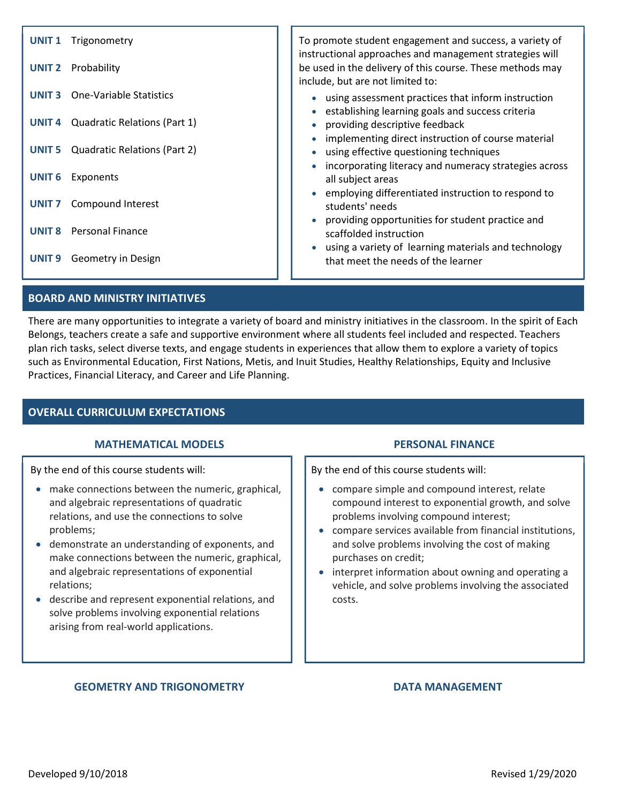| <b>UNIT1</b>      | Trigonometry                        | To promote student engagement and success, a variety of<br>instructional approaches and management strategies will                                    |
|-------------------|-------------------------------------|-------------------------------------------------------------------------------------------------------------------------------------------------------|
| <b>UNIT 2</b>     | Probability                         | be used in the delivery of this course. These methods may<br>include, but are not limited to:                                                         |
| <b>UNIT 3</b>     | One-Variable Statistics             | • using assessment practices that inform instruction<br>establishing learning goals and success criteria                                              |
| UNIT <sub>4</sub> | Quadratic Relations (Part 1)        | providing descriptive feedback                                                                                                                        |
| UNIT <sub>5</sub> | <b>Quadratic Relations (Part 2)</b> | implementing direct instruction of course material<br>using effective questioning techniques<br>incorporating literacy and numeracy strategies across |
| <b>UNIT 6</b>     | Exponents                           | all subject areas                                                                                                                                     |
| <b>UNIT 7</b>     | Compound Interest                   | employing differentiated instruction to respond to<br>students' needs<br>providing opportunities for student practice and                             |
| <b>UNIT 8</b>     | <b>Personal Finance</b>             | scaffolded instruction                                                                                                                                |
| UNIT <sub>9</sub> | Geometry in Design                  | • using a variety of learning materials and technology<br>that meet the needs of the learner                                                          |
|                   |                                     |                                                                                                                                                       |

# BOARD AND MINISTRY INITIATIVES

There are many opportunities to integrate a variety of board and ministry initiatives in the classroom. In the spirit of Each Belongs, teachers create a safe and supportive environment where all students feel included and respected. Teachers plan rich tasks, select diverse texts, and engage students in experiences that allow them to explore a variety of topics such as Environmental Education, First Nations, Metis, and Inuit Studies, Healthy Relationships, Equity and Inclusive Practices, Financial Literacy, and Career and Life Planning.

# OVERALL CURRICULUM EXPECTATIONS

## MATHEMATICAL MODELS PERSONAL FINANCE

By the end of this course students will:

- make connections between the numeric, graphical, and algebraic representations of quadratic relations, and use the connections to solve problems;
- demonstrate an understanding of exponents, and make connections between the numeric, graphical, and algebraic representations of exponential relations;
- describe and represent exponential relations, and solve problems involving exponential relations arising from real-world applications.

By the end of this course students will:

- compare simple and compound interest, relate compound interest to exponential growth, and solve problems involving compound interest;
- compare services available from financial institutions, and solve problems involving the cost of making purchases on credit;
- interpret information about owning and operating a vehicle, and solve problems involving the associated costs.

## GEOMETRY AND TRIGONOMETRY **EXAMPLE 20 YO A DEAL OF A DATA MANAGEMENT**